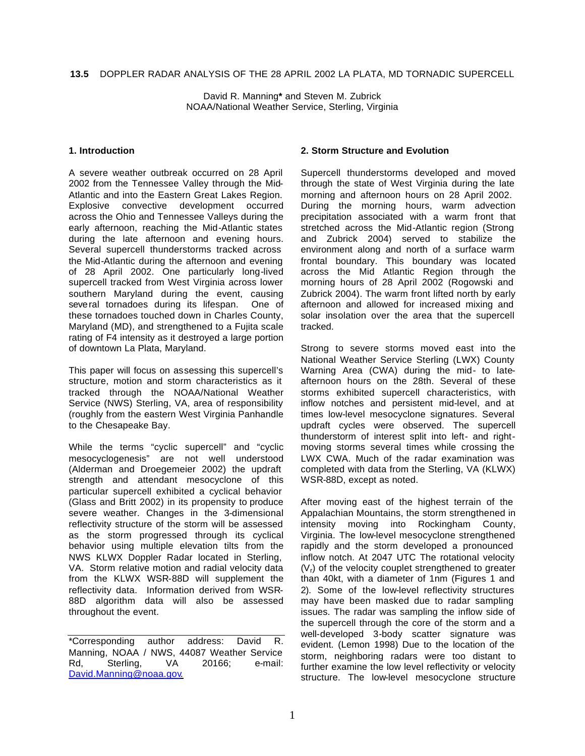David R. Manning**\*** and Steven M. Zubrick NOAA/National Weather Service, Sterling, Virginia

## **1. Introduction**

A severe weather outbreak occurred on 28 April 2002 from the Tennessee Valley through the Mid-Atlantic and into the Eastern Great Lakes Region. Explosive convective development occurred across the Ohio and Tennessee Valleys during the early afternoon, reaching the Mid-Atlantic states during the late afternoon and evening hours. Several supercell thunderstorms tracked across the Mid-Atlantic during the afternoon and evening of 28 April 2002. One particularly long-lived supercell tracked from West Virginia across lower southern Maryland during the event, causing several tornadoes during its lifespan. One of these tornadoes touched down in Charles County, Maryland (MD), and strengthened to a Fujita scale rating of F4 intensity as it destroyed a large portion of downtown La Plata, Maryland.

This paper will focus on assessing this supercell's structure, motion and storm characteristics as it tracked through the NOAA/National Weather Service (NWS) Sterling, VA, area of responsibility (roughly from the eastern West Virginia Panhandle to the Chesapeake Bay.

While the terms "cyclic supercell" and "cyclic mesocyclogenesis" are not well understood (Alderman and Droegemeier 2002) the updraft strength and attendant mesocyclone of this particular supercell exhibited a cyclical behavior (Glass and Britt 2002) in its propensity to produce severe weather. Changes in the 3-dimensional reflectivity structure of the storm will be assessed as the storm progressed through its cyclical behavior using multiple elevation tilts from the NWS KLWX Doppler Radar located in Sterling, VA. Storm relative motion and radial velocity data from the KLWX WSR-88D will supplement the reflectivity data. Information derived from WSR-88D algorithm data will also be assessed throughout the event.

## **2. Storm Structure and Evolution**

Supercell thunderstorms developed and moved through the state of West Virginia during the late morning and afternoon hours on 28 April 2002. During the morning hours, warm advection precipitation associated with a warm front that stretched across the Mid-Atlantic region (Strong and Zubrick 2004) served to stabilize the environment along and north of a surface warm frontal boundary. This boundary was located across the Mid Atlantic Region through the morning hours of 28 April 2002 (Rogowski and Zubrick 2004). The warm front lifted north by early afternoon and allowed for increased mixing and solar insolation over the area that the supercell tracked.

Strong to severe storms moved east into the National Weather Service Sterling (LWX) County Warning Area (CWA) during the mid- to lateafternoon hours on the 28th. Several of these storms exhibited supercell characteristics, with inflow notches and persistent mid-level, and at times low-level mesocyclone signatures. Several updraft cycles were observed. The supercell thunderstorm of interest split into left- and rightmoving storms several times while crossing the LWX CWA. Much of the radar examination was completed with data from the Sterling, VA (KLWX) WSR-88D, except as noted.

After moving east of the highest terrain of the Appalachian Mountains, the storm strengthened in intensity moving into Rockingham County, Virginia. The low-level mesocyclone strengthened rapidly and the storm developed a pronounced inflow notch. At 2047 UTC The rotational velocity  $(V<sub>r</sub>)$  of the velocity couplet strengthened to greater than 40kt, with a diameter of 1nm (Figures 1 and 2). Some of the low-level reflectivity structures may have been masked due to radar sampling issues. The radar was sampling the inflow side of the supercell through the core of the storm and a well-developed 3-body scatter signature was evident. (Lemon 1998) Due to the location of the storm, neighboring radars were too distant to further examine the low level reflectivity or velocity structure. The low-level mesocyclone structure

<sup>\*</sup>Corresponding author address: David R. Manning, NOAA / NWS, 44087 Weather Service Rd, Sterling, VA 20166; e-mail: David.Manning@noaa.gov.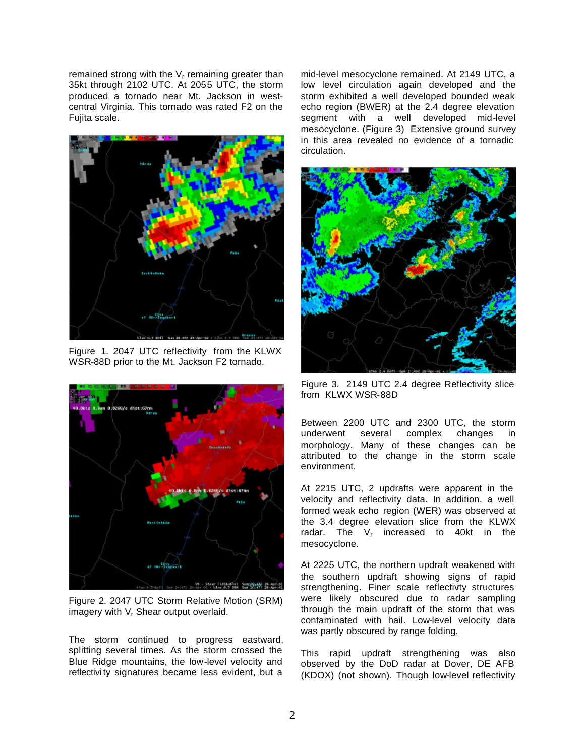remained strong with the  $V<sub>r</sub>$  remaining greater than 35kt through 2102 UTC. At 2055 UTC, the storm produced a tornado near Mt. Jackson in westcentral Virginia. This tornado was rated F2 on the Fujita scale.



Figure 1. 2047 UTC reflectivity from the KLWX WSR-88D prior to the Mt. Jackson F2 tornado.



Figure 2. 2047 UTC Storm Relative Motion (SRM) imagery with V<sub>r</sub> Shear output overlaid.

The storm continued to progress eastward, splitting several times. As the storm crossed the Blue Ridge mountains, the low-level velocity and reflectivi ty signatures became less evident, but a

mid-level mesocyclone remained. At 2149 UTC, a low level circulation again developed and the storm exhibited a well developed bounded weak echo region (BWER) at the 2.4 degree elevation segment with a well developed mid-level mesocyclone. (Figure 3) Extensive ground survey in this area revealed no evidence of a tornadic circulation.



Figure 3. 2149 UTC 2.4 degree Reflectivity slice from KLWX WSR-88D

Between 2200 UTC and 2300 UTC, the storm underwent several complex changes in morphology. Many of these changes can be attributed to the change in the storm scale environment.

At 2215 UTC, 2 updrafts were apparent in the velocity and reflectivity data. In addition, a well formed weak echo region (WER) was observed at the 3.4 degree elevation slice from the KLWX radar. The V<sub>r</sub> increased to 40kt in the mesocyclone.

At 2225 UTC, the northern updraft weakened with the southern updraft showing signs of rapid strengthening. Finer scale reflectivity structures were likely obscured due to radar sampling through the main updraft of the storm that was contaminated with hail. Low-level velocity data was partly obscured by range folding.

This rapid updraft strengthening was also observed by the DoD radar at Dover, DE AFB (KDOX) (not shown). Though low-level reflectivity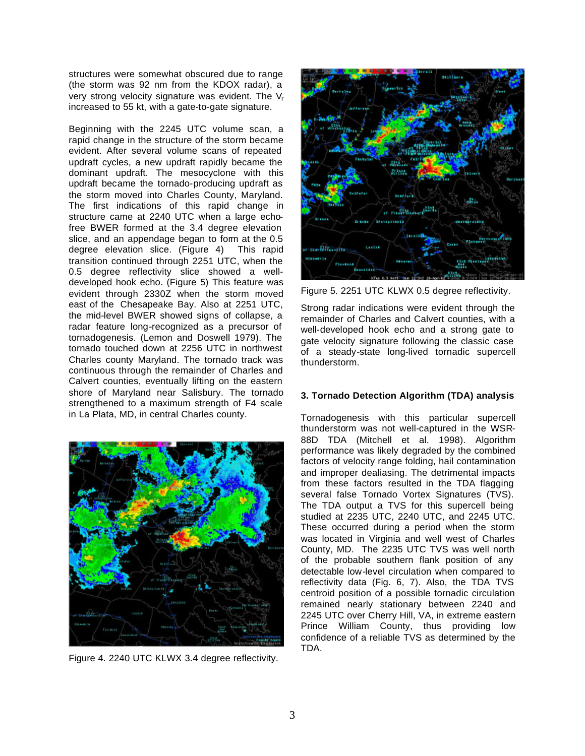structures were somewhat obscured due to range (the storm was 92 nm from the KDOX radar), a very strong velocity signature was evident. The V<sub>r</sub> increased to 55 kt, with a gate-to-gate signature.

Beginning with the 2245 UTC volume scan, a rapid change in the structure of the storm became evident. After several volume scans of repeated updraft cycles, a new updraft rapidly became the dominant updraft. The mesocyclone with this updraft became the tornado-producing updraft as the storm moved into Charles County, Maryland. The first indications of this rapid change in structure came at 2240 UTC when a large echofree BWER formed at the 3.4 degree elevation slice, and an appendage began to form at the 0.5 degree elevation slice. (Figure 4) This rapid transition continued through 2251 UTC, when the 0.5 degree reflectivity slice showed a welldeveloped hook echo. (Figure 5) This feature was evident through 2330Z when the storm moved east of the Chesapeake Bay. Also at 2251 UTC, the mid-level BWER showed signs of collapse, a radar feature long-recognized as a precursor of tornadogenesis. (Lemon and Doswell 1979). The tornado touched down at 2256 UTC in northwest Charles county Maryland. The tornado track was continuous through the remainder of Charles and Calvert counties, eventually lifting on the eastern shore of Maryland near Salisbury. The tornado strengthened to a maximum strength of F4 scale in La Plata, MD, in central Charles county.



Figure 4. 2240 UTC KLWX 3.4 degree reflectivity.



Figure 5. 2251 UTC KLWX 0.5 degree reflectivity.

Strong radar indications were evident through the remainder of Charles and Calvert counties, with a well-developed hook echo and a strong gate to gate velocity signature following the classic case of a steady-state long-lived tornadic supercell thunderstorm.

## **3. Tornado Detection Algorithm (TDA) analysis**

Tornadogenesis with this particular supercell thunderstorm was not well-captured in the WSR-88D TDA (Mitchell et al. 1998). Algorithm performance was likely degraded by the combined factors of velocity range folding, hail contamination and improper dealiasing. The detrimental impacts from these factors resulted in the TDA flagging several false Tornado Vortex Signatures (TVS). The TDA output a TVS for this supercell being studied at 2235 UTC, 2240 UTC, and 2245 UTC. These occurred during a period when the storm was located in Virginia and well west of Charles County, MD. The 2235 UTC TVS was well north of the probable southern flank position of any detectable low-level circulation when compared to reflectivity data (Fig. 6, 7). Also, the TDA TVS centroid position of a possible tornadic circulation remained nearly stationary between 2240 and 2245 UTC over Cherry Hill, VA, in extreme eastern Prince William County, thus providing low confidence of a reliable TVS as determined by the TDA.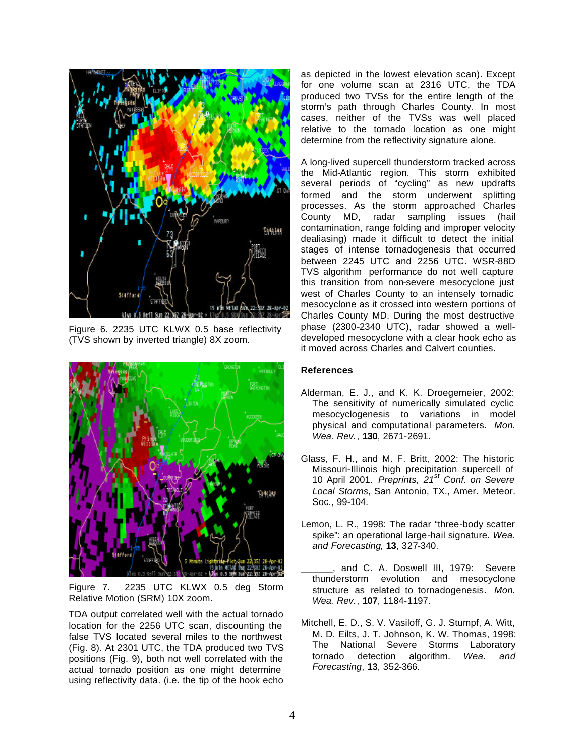

Figure 6. 2235 UTC KLWX 0.5 base reflectivity (TVS shown by inverted triangle) 8X zoom.



Figure 7. 2235 UTC KLWX 0.5 deg Storm Relative Motion (SRM) 10X zoom.

TDA output correlated well with the actual tornado location for the 2256 UTC scan, discounting the false TVS located several miles to the northwest (Fig. 8). At 2301 UTC, the TDA produced two TVS positions (Fig. 9), both not well correlated with the actual tornado position as one might determine using reflectivity data. (i.e. the tip of the hook echo

as depicted in the lowest elevation scan). Except for one volume scan at 2316 UTC, the TDA produced two TVSs for the entire length of the storm's path through Charles County. In most cases, neither of the TVSs was well placed relative to the tornado location as one might determine from the reflectivity signature alone.

A long-lived supercell thunderstorm tracked across the Mid-Atlantic region. This storm exhibited several periods of "cycling" as new updrafts formed and the storm underwent splitting processes. As the storm approached Charles County MD, radar sampling issues (hail contamination, range folding and improper velocity dealiasing) made it difficult to detect the initial stages of intense tornadogenesis that occurred between 2245 UTC and 2256 UTC. WSR-88D TVS algorithm performance do not well capture this transition from non-severe mesocyclone just west of Charles County to an intensely tornadic mesocyclone as it crossed into western portions of Charles County MD. During the most destructive phase (2300-2340 UTC), radar showed a welldeveloped mesocyclone with a clear hook echo as it moved across Charles and Calvert counties.

## **References**

- Alderman, E. J., and K. K. Droegemeier, 2002: The sensitivity of numerically simulated cyclic mesocyclogenesis to variations in model physical and computational parameters. *Mon. Wea. Rev.*, **130**, 2671-2691.
- Glass, F. H., and M. F. Britt, 2002: The historic Missouri-Illinois high precipitation supercell of 10 April 2001. *Preprints, 21st Conf. on Severe Local Storms*, San Antonio, TX., Amer. Meteor. Soc., 99-104.
- Lemon, L. R., 1998: The radar "three-body scatter spike": an operational large-hail signature. *Wea. and Forecasting*, **13**, 327-340.
- \_\_\_\_\_\_, and C. A. Doswell III, 1979: Severe thunderstorm evolution and mesocyclone structure as related to tornadogenesis. *Mon. Wea. Rev.*, **107**, 1184-1197.
- Mitchell, E. D., S. V. Vasiloff, G. J. Stumpf, A. Witt, M. D. Eilts, J. T. Johnson, K. W. Thomas, 1998: The National Severe Storms Laboratory tornado detection algorithm. *Wea. and Forecasting*, **13**, 352-366.